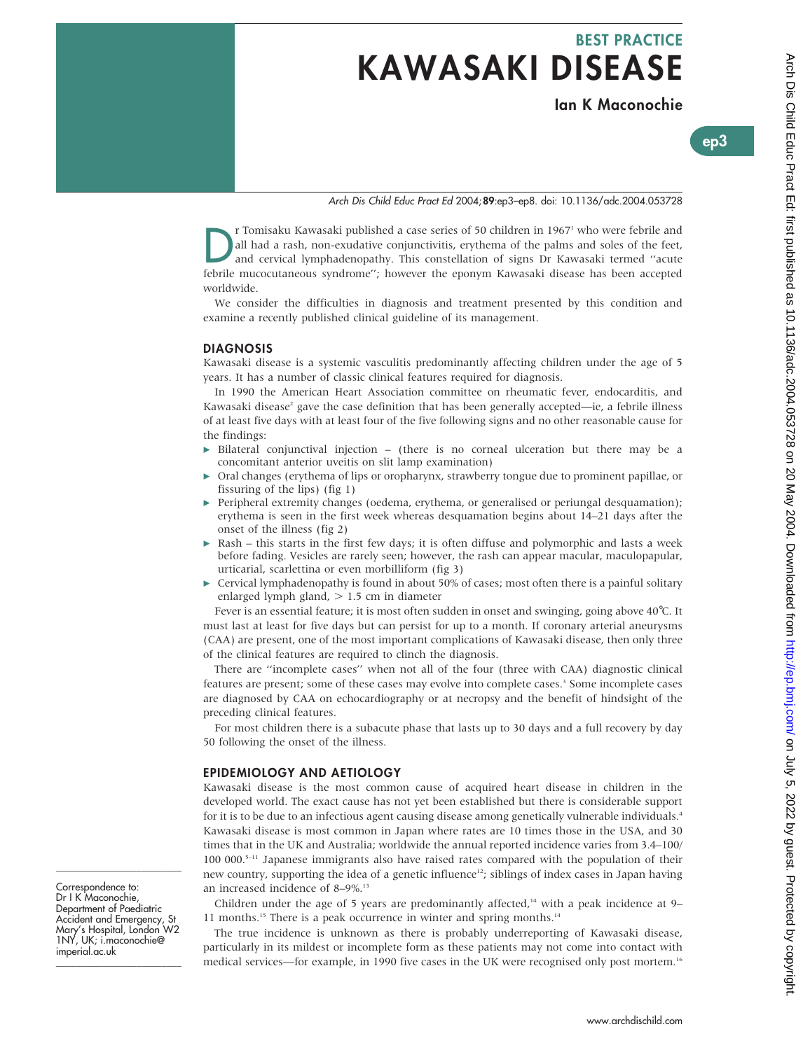# BEST PRACTICE KAWASAKI DISEASE

Ian K Maconochie

Arch Dis Child Educ Pract Ed: first published as 10.1136/adc.2004.053728 on 20 May 2004. Downloaded from http://ep.bmj.com/ on July 5, 2022 by guest. Protected by copyright Arch Dis Child Educ Pract Ed: first published as 10.1136/adc.2004.053728 on 20 May 2004. Downloaded from Downloaded from Dis Child Educ Protected by copyright.

ep3

# Arch Dis Child Educ Pract Ed 2004;89:ep3–ep8. doi: 10.1136/adc.2004.053728

IT Tomisaku Kawasaki published a case series of 50 children in 1967<sup>1</sup> who were febrile and all had a rash, non-exudative conjunctivitis, erythema of the palms and soles of the feet, and cervical lymphadenopathy. This cons all had a rash, non-exudative conjunctivitis, erythema of the palms and soles of the feet, and cervical lymphadenopathy. This constellation of signs Dr Kawasaki termed ''acute febrile mucocutaneous syndrome''; however the eponym Kawasaki disease has been accepted worldwide.

We consider the difficulties in diagnosis and treatment presented by this condition and examine a recently published clinical guideline of its management.

#### DIAGNOSIS

Kawasaki disease is a systemic vasculitis predominantly affecting children under the age of 5 years. It has a number of classic clinical features required for diagnosis.

In 1990 the American Heart Association committee on rheumatic fever, endocarditis, and Kawasaki disease<sup>2</sup> gave the case definition that has been generally accepted—ie, a febrile illness of at least five days with at least four of the five following signs and no other reasonable cause for the findings:

- $\triangleright$  Bilateral conjunctival injection (there is no corneal ulceration but there may be a concomitant anterior uveitis on slit lamp examination)
- c Oral changes (erythema of lips or oropharynx, strawberry tongue due to prominent papillae, or fissuring of the lips) (fig 1)
- $\triangleright$  Peripheral extremity changes (oedema, erythema, or generalised or periungal desquamation); erythema is seen in the first week whereas desquamation begins about 14–21 days after the onset of the illness (fig 2)
- $\triangleright$  Rash this starts in the first few days; it is often diffuse and polymorphic and lasts a week before fading. Vesicles are rarely seen; however, the rash can appear macular, maculopapular, urticarial, scarlettina or even morbilliform (fig 3)
- $\triangleright$  Cervical lymphadenopathy is found in about 50% of cases; most often there is a painful solitary enlarged lymph gland,  $> 1.5$  cm in diameter

Fever is an essential feature; it is most often sudden in onset and swinging, going above 40˚C. It must last at least for five days but can persist for up to a month. If coronary arterial aneurysms (CAA) are present, one of the most important complications of Kawasaki disease, then only three of the clinical features are required to clinch the diagnosis.

There are ''incomplete cases'' when not all of the four (three with CAA) diagnostic clinical features are present; some of these cases may evolve into complete cases.<sup>3</sup> Some incomplete cases are diagnosed by CAA on echocardiography or at necropsy and the benefit of hindsight of the preceding clinical features.

For most children there is a subacute phase that lasts up to 30 days and a full recovery by day 50 following the onset of the illness.

#### EPIDEMIOLOGY AND AETIOLOGY

Kawasaki disease is the most common cause of acquired heart disease in children in the developed world. The exact cause has not yet been established but there is considerable support for it is to be due to an infectious agent causing disease among genetically vulnerable individuals.<sup>4</sup> Kawasaki disease is most common in Japan where rates are 10 times those in the USA, and 30 times that in the UK and Australia; worldwide the annual reported incidence varies from 3.4–100/ 100 000. $5-11$  Japanese immigrants also have raised rates compared with the population of their new country, supporting the idea of a genetic influence<sup>12</sup>; siblings of index cases in Japan having an increased incidence of 8-9%.<sup>13</sup>

Children under the age of 5 years are predominantly affected, $14$  with a peak incidence at 9– 11 months.<sup>15</sup> There is a peak occurrence in winter and spring months.<sup>14</sup>

The true incidence is unknown as there is probably underreporting of Kawasaki disease, particularly in its mildest or incomplete form as these patients may not come into contact with medical services—for example, in 1990 five cases in the UK were recognised only post mortem.<sup>16</sup>

Correspondence to: Dr I K Maconochie, Department of Paediatric Accident and Emergency, St Mary's Hospital, London W2 1NY, UK; i.maconochie@ imperial.ac.uk

\_\_\_\_\_\_\_\_\_\_\_\_\_\_\_\_\_\_\_\_\_\_\_\_\_

\_\_\_\_\_\_\_\_\_\_\_\_\_\_\_\_\_\_\_\_\_\_\_\_\_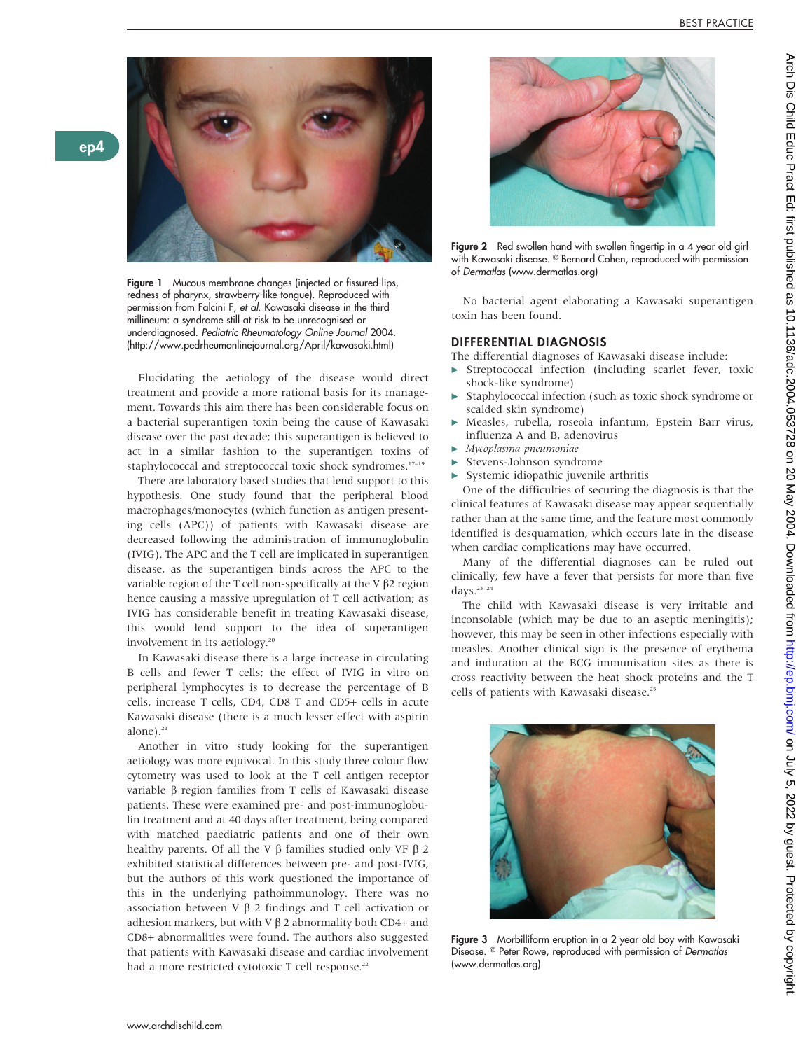

ep4

Figure 1 Mucous membrane changes (injected or fissured lips, redness of pharynx, strawberry-like tongue). Reproduced with permission from Falcini F, et al. Kawasaki disease in the third millineum: a syndrome still at risk to be unrecognised or underdiagnosed. Pediatric Rheumatology Online Journal 2004. (http://www.pedrheumonlinejournal.org/April/kawasaki.html)

Elucidating the aetiology of the disease would direct treatment and provide a more rational basis for its management. Towards this aim there has been considerable focus on a bacterial superantigen toxin being the cause of Kawasaki disease over the past decade; this superantigen is believed to act in a similar fashion to the superantigen toxins of staphylococcal and streptococcal toxic shock syndromes.<sup>17-19</sup>

There are laboratory based studies that lend support to this hypothesis. One study found that the peripheral blood macrophages/monocytes (which function as antigen presenting cells (APC)) of patients with Kawasaki disease are decreased following the administration of immunoglobulin (IVIG). The APC and the T cell are implicated in superantigen disease, as the superantigen binds across the APC to the variable region of the T cell non-specifically at the V  $\beta$ 2 region hence causing a massive upregulation of T cell activation; as IVIG has considerable benefit in treating Kawasaki disease, this would lend support to the idea of superantigen involvement in its aetiology.20

In Kawasaki disease there is a large increase in circulating B cells and fewer T cells; the effect of IVIG in vitro on peripheral lymphocytes is to decrease the percentage of B cells, increase T cells, CD4, CD8 T and CD5+ cells in acute Kawasaki disease (there is a much lesser effect with aspirin alone). $21$ 

Another in vitro study looking for the superantigen aetiology was more equivocal. In this study three colour flow cytometry was used to look at the T cell antigen receptor variable  $\beta$  region families from T cells of Kawasaki disease patients. These were examined pre- and post-immunoglobulin treatment and at 40 days after treatment, being compared with matched paediatric patients and one of their own healthy parents. Of all the V  $\beta$  families studied only VF  $\beta$  2 exhibited statistical differences between pre- and post-IVIG, but the authors of this work questioned the importance of this in the underlying pathoimmunology. There was no association between V  $\beta$  2 findings and T cell activation or adhesion markers, but with V  $\beta$  2 abnormality both CD4+ and CD8+ abnormalities were found. The authors also suggested that patients with Kawasaki disease and cardiac involvement had a more restricted cytotoxic T cell response.<sup>22</sup>



Figure 2 Red swollen hand with swollen fingertip in a 4 year old girl with Kawasaki disease. © Bernard Cohen, reproduced with permission of Dermatlas (www.dermatlas.org)

No bacterial agent elaborating a Kawasaki superantigen toxin has been found.

#### DIFFERENTIAL DIAGNOSIS

The differential diagnoses of Kawasaki disease include:

- Streptococcal infection (including scarlet fever, toxic shock-like syndrome)
- Staphylococcal infection (such as toxic shock syndrome or scalded skin syndrome)
- Measles, rubella, roseola infantum, Epstein Barr virus, influenza A and B, adenovirus
- Mycoplasma pneumoniae
- Stevens-Johnson syndrome
- Systemic idiopathic juvenile arthritis

One of the difficulties of securing the diagnosis is that the clinical features of Kawasaki disease may appear sequentially rather than at the same time, and the feature most commonly identified is desquamation, which occurs late in the disease when cardiac complications may have occurred.

Many of the differential diagnoses can be ruled out clinically; few have a fever that persists for more than five days.<sup>23</sup> <sup>24</sup>

The child with Kawasaki disease is very irritable and inconsolable (which may be due to an aseptic meningitis); however, this may be seen in other infections especially with measles. Another clinical sign is the presence of erythema and induration at the BCG immunisation sites as there is cross reactivity between the heat shock proteins and the T cells of patients with Kawasaki disease.<sup>25</sup>



Figure 3 Morbilliform eruption in a 2 year old boy with Kawasaki Disease. © Peter Rowe, reproduced with permission of Dermatlas (www.dermatlas.org)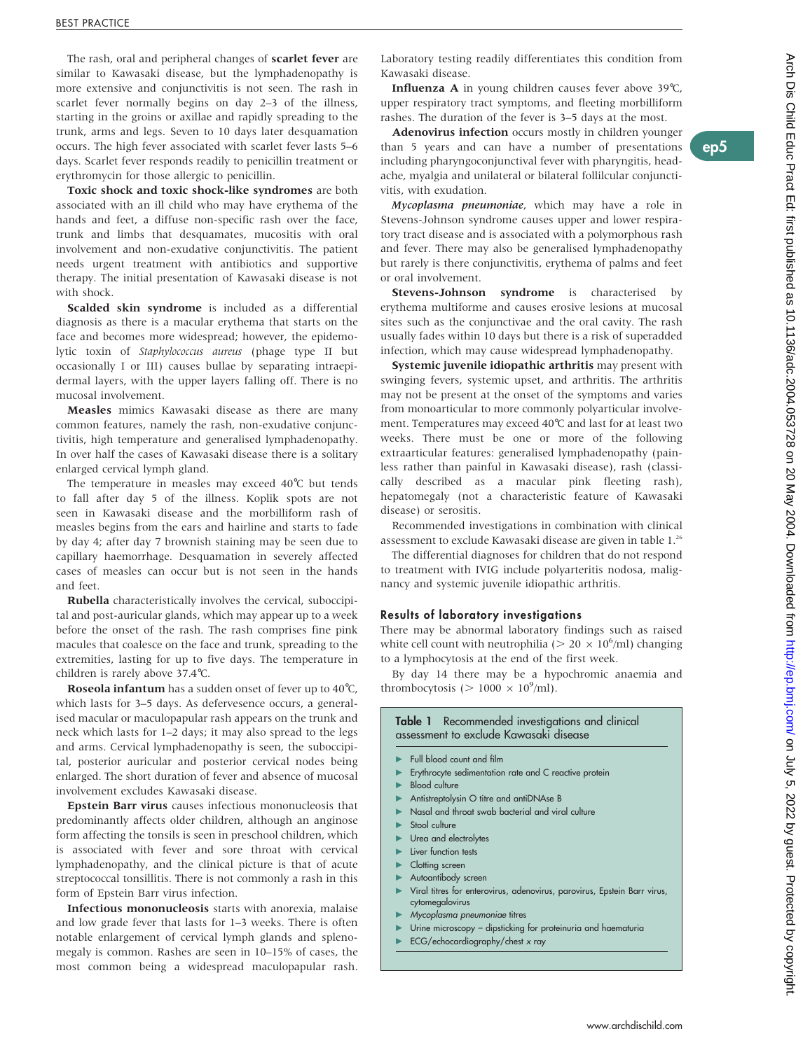ep5

The rash, oral and peripheral changes of scarlet fever are similar to Kawasaki disease, but the lymphadenopathy is more extensive and conjunctivitis is not seen. The rash in scarlet fever normally begins on day 2–3 of the illness, starting in the groins or axillae and rapidly spreading to the trunk, arms and legs. Seven to 10 days later desquamation occurs. The high fever associated with scarlet fever lasts 5–6 days. Scarlet fever responds readily to penicillin treatment or erythromycin for those allergic to penicillin.

Toxic shock and toxic shock-like syndromes are both associated with an ill child who may have erythema of the hands and feet, a diffuse non-specific rash over the face, trunk and limbs that desquamates, mucositis with oral involvement and non-exudative conjunctivitis. The patient needs urgent treatment with antibiotics and supportive therapy. The initial presentation of Kawasaki disease is not with shock.

Scalded skin syndrome is included as a differential diagnosis as there is a macular erythema that starts on the face and becomes more widespread; however, the epidemolytic toxin of Staphylococcus aureus (phage type II but occasionally I or III) causes bullae by separating intraepidermal layers, with the upper layers falling off. There is no mucosal involvement.

Measles mimics Kawasaki disease as there are many common features, namely the rash, non-exudative conjunctivitis, high temperature and generalised lymphadenopathy. In over half the cases of Kawasaki disease there is a solitary enlarged cervical lymph gland.

The temperature in measles may exceed 40˚C but tends to fall after day 5 of the illness. Koplik spots are not seen in Kawasaki disease and the morbilliform rash of measles begins from the ears and hairline and starts to fade by day 4; after day 7 brownish staining may be seen due to capillary haemorrhage. Desquamation in severely affected cases of measles can occur but is not seen in the hands and feet.

Rubella characteristically involves the cervical, suboccipital and post-auricular glands, which may appear up to a week before the onset of the rash. The rash comprises fine pink macules that coalesce on the face and trunk, spreading to the extremities, lasting for up to five days. The temperature in children is rarely above 37.4˚C.

Roseola infantum has a sudden onset of fever up to 40˚C, which lasts for 3–5 days. As defervesence occurs, a generalised macular or maculopapular rash appears on the trunk and neck which lasts for 1–2 days; it may also spread to the legs and arms. Cervical lymphadenopathy is seen, the suboccipital, posterior auricular and posterior cervical nodes being enlarged. The short duration of fever and absence of mucosal involvement excludes Kawasaki disease.

Epstein Barr virus causes infectious mononucleosis that predominantly affects older children, although an anginose form affecting the tonsils is seen in preschool children, which is associated with fever and sore throat with cervical lymphadenopathy, and the clinical picture is that of acute streptococcal tonsillitis. There is not commonly a rash in this form of Epstein Barr virus infection.

Infectious mononucleosis starts with anorexia, malaise and low grade fever that lasts for 1–3 weeks. There is often notable enlargement of cervical lymph glands and splenomegaly is common. Rashes are seen in 10–15% of cases, the most common being a widespread maculopapular rash. Laboratory testing readily differentiates this condition from Kawasaki disease.

Influenza A in young children causes fever above 39˚C, upper respiratory tract symptoms, and fleeting morbilliform rashes. The duration of the fever is 3–5 days at the most.

Adenovirus infection occurs mostly in children younger than 5 years and can have a number of presentations including pharyngoconjunctival fever with pharyngitis, headache, myalgia and unilateral or bilateral follilcular conjunctivitis, with exudation.

Mycoplasma pneumoniae, which may have a role in Stevens-Johnson syndrome causes upper and lower respiratory tract disease and is associated with a polymorphous rash and fever. There may also be generalised lymphadenopathy but rarely is there conjunctivitis, erythema of palms and feet or oral involvement.

Stevens-Johnson syndrome is characterised by erythema multiforme and causes erosive lesions at mucosal sites such as the conjunctivae and the oral cavity. The rash usually fades within 10 days but there is a risk of superadded infection, which may cause widespread lymphadenopathy.

Systemic juvenile idiopathic arthritis may present with swinging fevers, systemic upset, and arthritis. The arthritis may not be present at the onset of the symptoms and varies from monoarticular to more commonly polyarticular involvement. Temperatures may exceed 40˚C and last for at least two weeks. There must be one or more of the following extraarticular features: generalised lymphadenopathy (painless rather than painful in Kawasaki disease), rash (classically described as a macular pink fleeting rash), hepatomegaly (not a characteristic feature of Kawasaki disease) or serositis.

Recommended investigations in combination with clinical assessment to exclude Kawasaki disease are given in table 1.26

The differential diagnoses for children that do not respond to treatment with IVIG include polyarteritis nodosa, malignancy and systemic juvenile idiopathic arthritis.

#### Results of laboratory investigations

There may be abnormal laboratory findings such as raised white cell count with neutrophilia ( $> 20 \times 10^6$ /ml) changing to a lymphocytosis at the end of the first week.

By day 14 there may be a hypochromic anaemia and thrombocytosis ( $> 1000 \times 10^9$ /ml).

#### **Table 1** Recommended investigations and clinical assessment to exclude Kawasaki disease

- Full blood count and film
- Erythrocyte sedimentation rate and C reactive protein
- **Blood culture**
- Antistreptolysin O titre and antiDNAse B
- Nasal and throat swab bacterial and viral culture
- Stool culture
- Urea and electrolytes
- Liver function tests
- Clotting screen
- Autoantibody screen
- Viral titres for enterovirus, adenovirus, parovirus, Epstein Barr virus, cytomegalovirus
- Mycoplasma pneumoniae titres
- Urine microscopy dipsticking for proteinuria and haematuria
- ECG/echocardiography/chest x ray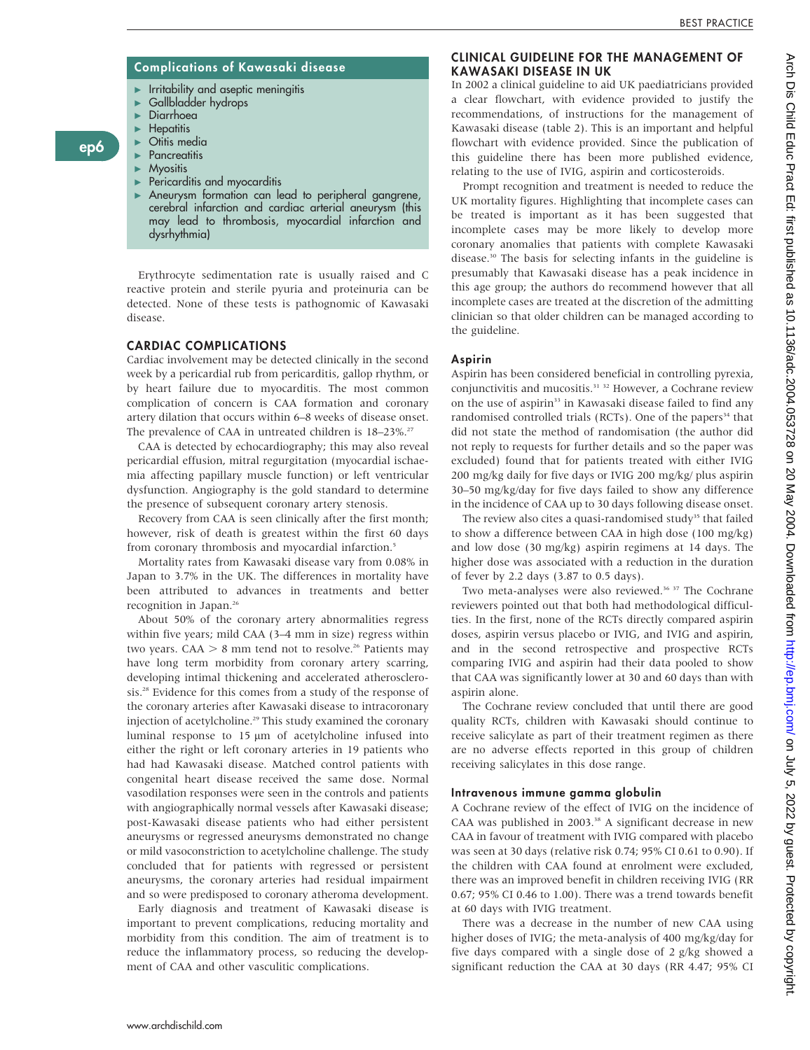# Complications of Kawasaki disease

- c Irritability and aseptic meningitis
- $\blacktriangleright$  Gallbladder hydrops
- $\triangleright$  Diarrhoea<br>  $\triangleright$  Henatitis **Hepatitis**

ep6

- $\triangleright$  Otitis media
- **Pancreatitis**
- $\blacktriangleright$  Myositis
- $\blacktriangleright$  Pericarditis and myocarditis
- Aneurysm formation can lead to peripheral gangrene, cerebral infarction and cardiac arterial aneurysm (this may lead to thrombosis, myocardial infarction and dysrhythmia)

Erythrocyte sedimentation rate is usually raised and C reactive protein and sterile pyuria and proteinuria can be detected. None of these tests is pathognomic of Kawasaki disease.

# CARDIAC COMPLICATIONS

Cardiac involvement may be detected clinically in the second week by a pericardial rub from pericarditis, gallop rhythm, or by heart failure due to myocarditis. The most common complication of concern is CAA formation and coronary artery dilation that occurs within 6–8 weeks of disease onset. The prevalence of CAA in untreated children is 18-23%.<sup>27</sup>

CAA is detected by echocardiography; this may also reveal pericardial effusion, mitral regurgitation (myocardial ischaemia affecting papillary muscle function) or left ventricular dysfunction. Angiography is the gold standard to determine the presence of subsequent coronary artery stenosis.

Recovery from CAA is seen clinically after the first month; however, risk of death is greatest within the first 60 days from coronary thrombosis and myocardial infarction.<sup>5</sup>

Mortality rates from Kawasaki disease vary from 0.08% in Japan to 3.7% in the UK. The differences in mortality have been attributed to advances in treatments and better recognition in Japan.<sup>26</sup>

About 50% of the coronary artery abnormalities regress within five years; mild CAA (3–4 mm in size) regress within two years. CAA  $> 8$  mm tend not to resolve.<sup>26</sup> Patients may have long term morbidity from coronary artery scarring, developing intimal thickening and accelerated atherosclerosis.<sup>28</sup> Evidence for this comes from a study of the response of the coronary arteries after Kawasaki disease to intracoronary injection of acetylcholine.<sup>29</sup> This study examined the coronary luminal response to  $15 \mu m$  of acetylcholine infused into either the right or left coronary arteries in 19 patients who had had Kawasaki disease. Matched control patients with congenital heart disease received the same dose. Normal vasodilation responses were seen in the controls and patients with angiographically normal vessels after Kawasaki disease; post-Kawasaki disease patients who had either persistent aneurysms or regressed aneurysms demonstrated no change or mild vasoconstriction to acetylcholine challenge. The study concluded that for patients with regressed or persistent aneurysms, the coronary arteries had residual impairment and so were predisposed to coronary atheroma development.

Early diagnosis and treatment of Kawasaki disease is important to prevent complications, reducing mortality and morbidity from this condition. The aim of treatment is to reduce the inflammatory process, so reducing the development of CAA and other vasculitic complications.

# CLINICAL GUIDELINE FOR THE MANAGEMENT OF KAWASAKI DISEASE IN UK

In 2002 a clinical guideline to aid UK paediatricians provided a clear flowchart, with evidence provided to justify the recommendations, of instructions for the management of Kawasaki disease (table 2). This is an important and helpful flowchart with evidence provided. Since the publication of this guideline there has been more published evidence, relating to the use of IVIG, aspirin and corticosteroids.

Prompt recognition and treatment is needed to reduce the UK mortality figures. Highlighting that incomplete cases can be treated is important as it has been suggested that incomplete cases may be more likely to develop more coronary anomalies that patients with complete Kawasaki disease.30 The basis for selecting infants in the guideline is presumably that Kawasaki disease has a peak incidence in this age group; the authors do recommend however that all incomplete cases are treated at the discretion of the admitting clinician so that older children can be managed according to the guideline.

# Aspirin

Aspirin has been considered beneficial in controlling pyrexia, conjunctivitis and mucositis.<sup>31</sup> <sup>32</sup> However, a Cochrane review on the use of aspirin<sup>33</sup> in Kawasaki disease failed to find any randomised controlled trials (RCTs). One of the papers<sup>34</sup> that did not state the method of randomisation (the author did not reply to requests for further details and so the paper was excluded) found that for patients treated with either IVIG 200 mg/kg daily for five days or IVIG 200 mg/kg/ plus aspirin 30–50 mg/kg/day for five days failed to show any difference in the incidence of CAA up to 30 days following disease onset.

The review also cites a quasi-randomised study<sup>35</sup> that failed to show a difference between CAA in high dose (100 mg/kg) and low dose (30 mg/kg) aspirin regimens at 14 days. The higher dose was associated with a reduction in the duration of fever by 2.2 days (3.87 to 0.5 days).

Two meta-analyses were also reviewed.<sup>36 37</sup> The Cochrane reviewers pointed out that both had methodological difficulties. In the first, none of the RCTs directly compared aspirin doses, aspirin versus placebo or IVIG, and IVIG and aspirin, and in the second retrospective and prospective RCTs comparing IVIG and aspirin had their data pooled to show that CAA was significantly lower at 30 and 60 days than with aspirin alone.

The Cochrane review concluded that until there are good quality RCTs, children with Kawasaki should continue to receive salicylate as part of their treatment regimen as there are no adverse effects reported in this group of children receiving salicylates in this dose range.

# Intravenous immune gamma globulin

A Cochrane review of the effect of IVIG on the incidence of CAA was published in 2003.<sup>38</sup> A significant decrease in new CAA in favour of treatment with IVIG compared with placebo was seen at 30 days (relative risk 0.74; 95% CI 0.61 to 0.90). If the children with CAA found at enrolment were excluded, there was an improved benefit in children receiving IVIG (RR 0.67; 95% CI 0.46 to 1.00). There was a trend towards benefit at 60 days with IVIG treatment.

There was a decrease in the number of new CAA using higher doses of IVIG; the meta-analysis of 400 mg/kg/day for five days compared with a single dose of 2 g/kg showed a significant reduction the CAA at 30 days (RR 4.47; 95% CI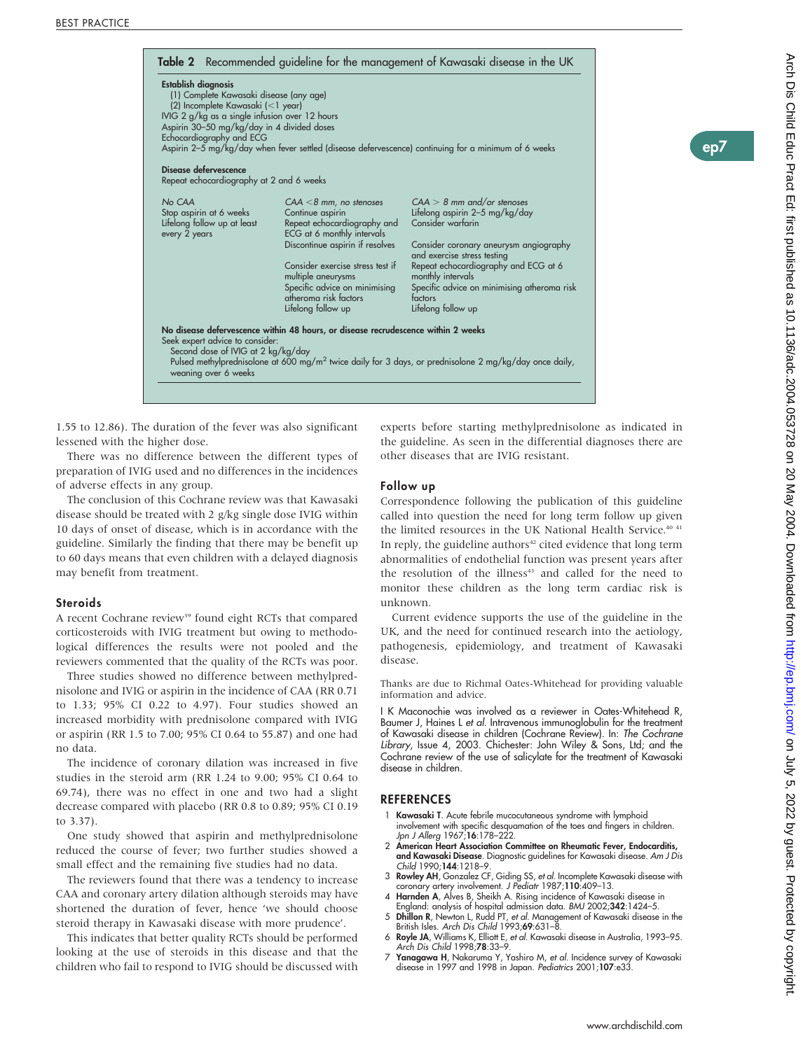| Establish diagnosis<br>(1) Complete Kawasaki disease (any age)<br>(2) Incomplete Kawasaki (<1 year)<br>IVIG 2 g/kg as a single infusion over 12 hours<br>Aspirin 30-50 mg/kg/day in 4 divided doses<br>Echocardiography and ECG |                                                                                                            | Aspirin 2-5 mg/kg/day when fever settled (disease defervescence) continuing for a minimum of 6 weeks               |
|---------------------------------------------------------------------------------------------------------------------------------------------------------------------------------------------------------------------------------|------------------------------------------------------------------------------------------------------------|--------------------------------------------------------------------------------------------------------------------|
| Disease defervescence<br>Repeat echocardiography at 2 and 6 weeks                                                                                                                                                               |                                                                                                            |                                                                                                                    |
| No CAA<br>Stop aspirin at 6 weeks<br>Lifelong follow up at least<br>every 2 years                                                                                                                                               | $CAA < 8$ mm, no stenoses<br>Continue aspirin<br>Repeat echocardiography and<br>ECG at 6 monthly intervals | $CAA > 8$ mm and/or stenoses<br>Lifelong aspirin 2-5 mg/kg/day<br>Consider warfarin                                |
|                                                                                                                                                                                                                                 | Discontinue aspirin if resolves                                                                            | Consider coronary aneurysm angiography<br>and exercise stress testing                                              |
|                                                                                                                                                                                                                                 | Consider exercise stress test if<br>multiple aneurysms                                                     | Repeat echocardiography and ECG at 6<br>monthly intervals                                                          |
|                                                                                                                                                                                                                                 | Specific advice on minimising<br>atheroma risk factors                                                     | Specific advice on minimising atheroma risk<br>factors                                                             |
|                                                                                                                                                                                                                                 | Lifelong follow up                                                                                         | Lifelong follow up                                                                                                 |
| Seek expert advice to consider:<br>Second dose of IVIG at 2 kg/kg/day<br>weaning over 6 weeks                                                                                                                                   | No disease defervescence within 48 hours, or disease recrudescence within 2 weeks                          | Pulsed methylprednisolone at 600 mg/m <sup>2</sup> twice daily for 3 days, or prednisolone 2 mg/kg/day once daily, |

1.55 to 12.86). The duration of the fever was also significant lessened with the higher dose.

There was no difference between the different types of preparation of IVIG used and no differences in the incidences of adverse effects in any group.

The conclusion of this Cochrane review was that Kawasaki disease should be treated with 2 g/kg single dose IVIG within 10 days of onset of disease, which is in accordance with the guideline. Similarly the finding that there may be benefit up to 60 days means that even children with a delayed diagnosis may benefit from treatment.

#### **Steroids**

A recent Cochrane review<sup>39</sup> found eight RCTs that compared corticosteroids with IVIG treatment but owing to methodological differences the results were not pooled and the reviewers commented that the quality of the RCTs was poor.

Three studies showed no difference between methylprednisolone and IVIG or aspirin in the incidence of CAA (RR 0.71 to 1.33; 95% CI 0.22 to 4.97). Four studies showed an increased morbidity with prednisolone compared with IVIG or aspirin (RR 1.5 to 7.00; 95% CI 0.64 to 55.87) and one had no data.

The incidence of coronary dilation was increased in five studies in the steroid arm (RR 1.24 to 9.00; 95% CI 0.64 to 69.74), there was no effect in one and two had a slight decrease compared with placebo (RR 0.8 to 0.89; 95% CI 0.19 to 3.37).

One study showed that aspirin and methylprednisolone reduced the course of fever; two further studies showed a small effect and the remaining five studies had no data.

The reviewers found that there was a tendency to increase CAA and coronary artery dilation although steroids may have shortened the duration of fever, hence 'we should choose steroid therapy in Kawasaki disease with more prudence'.

This indicates that better quality RCTs should be performed looking at the use of steroids in this disease and that the children who fail to respond to IVIG should be discussed with experts before starting methylprednisolone as indicated in the guideline. As seen in the differential diagnoses there are other diseases that are IVIG resistant.

#### Follow up

Correspondence following the publication of this guideline called into question the need for long term follow up given the limited resources in the UK National Health Service.<sup>40 41</sup> In reply, the guideline authors $42$  cited evidence that long term abnormalities of endothelial function was present years after the resolution of the illness<sup>43</sup> and called for the need to monitor these children as the long term cardiac risk is unknown.

Current evidence supports the use of the guideline in the UK, and the need for continued research into the aetiology, pathogenesis, epidemiology, and treatment of Kawasaki disease.

Thanks are due to Richmal Oates-Whitehead for providing valuable information and advice.

I K Maconochie was involved as a reviewer in Oates-Whitehead R, Baumer J, Haines L et al. Intravenous immunoglobulin for the treatment of Kawasaki disease in children (Cochrane Review). In: The Cochrane Library, Issue 4, 2003. Chichester: John Wiley & Sons, Ltd; and the Cochrane review of the use of salicylate for the treatment of Kawasaki disease in children.

# REFERENCES

- Kawasaki T. Acute febrile mucocutaneous syndrome with lymphoid involvement with specific desquamation of the toes and fingers in children. Jpn J Allerg 1967;16:178–222.
- 2 American Heart Association Committee on Rheumatic Fever, Endocarditis, and Kawasaki Disease. Diagnostic guidelines for Kawasaki disease. Am J Dis Child 1990;144:1218–9.
- 3 Rowley AH, Gonzalez CF, Giding SS, et al. Incomplete Kawasaki disease with
- coronary artery involvement. *J Pediatr* 1987;**110**:409–13.<br>4 **Harnden A**, Alves B, Sheikh A. Rising incidence of Kawasaki disease in
- England: analysis of hospital admission data. BMJ 2002;342:1424–5.
- 5 Dhillon R, Newton L, Rudd PT, et al. Management of Kawasaki disease in the British Isles. Arch Dis Child 1993;69:631-8.
- 6 Royle JA, Williams K, Elliott E, et al. Kawasaki disease in Australia, 1993–95. Arch Dis Child 1998;78:33–9.
- 7 Yanagawa H, Nakaruma Y, Yashiro M, et al. Incidence survey of Kawasaki disease in 1997 and 1998 in Japan. Pediatrics 2001;107:e33.

ep7